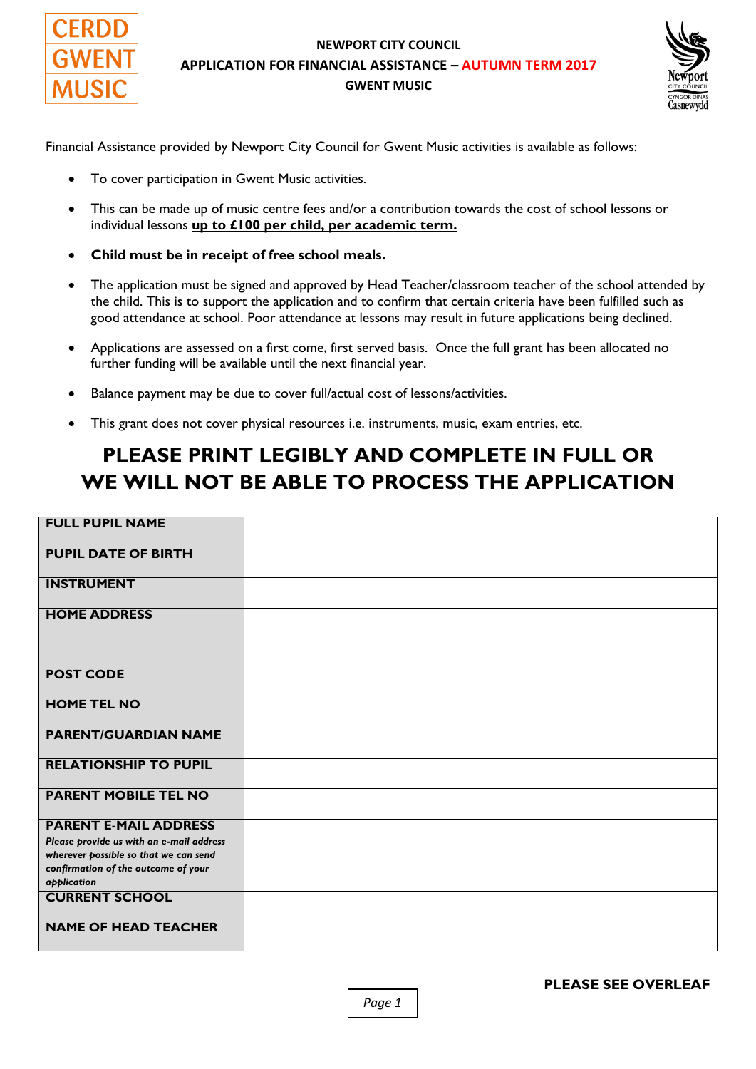

#### **NEWPORT CITY COUNCIL APPLICATION FOR FINANCIAL ASSISTANCE – AUTUMN TERM 2017 GWENT MUSIC**



Financial Assistance provided by Newport City Council for Gwent Music activities is available as follows:

- To cover participation in Gwent Music activities.
- This can be made up of music centre fees and/or a contribution towards the cost of school lessons or individual lessons **up to £100 per child, per academic term.**
- **Child must be in receipt of free school meals.**
- The application must be signed and approved by Head Teacher/classroom teacher of the school attended by the child. This is to support the application and to confirm that certain criteria have been fulfilled such as good attendance at school. Poor attendance at lessons may result in future applications being declined.
- Applications are assessed on a first come, first served basis. Once the full grant has been allocated no further funding will be available until the next financial year.
- Balance payment may be due to cover full/actual cost of lessons/activities.
- This grant does not cover physical resources i.e. instruments, music, exam entries, etc.

## **PLEASE PRINT LEGIBLY AND COMPLETE IN FULL OR WE WILL NOT BE ABLE TO PROCESS THE APPLICATION**

| <b>FULL PUPIL NAME</b>                             |  |
|----------------------------------------------------|--|
| <b>PUPIL DATE OF BIRTH</b>                         |  |
| <b>INSTRUMENT</b>                                  |  |
| <b>HOME ADDRESS</b>                                |  |
| <b>POST CODE</b>                                   |  |
| <b>HOME TEL NO</b>                                 |  |
| <b>PARENT/GUARDIAN NAME</b>                        |  |
| <b>RELATIONSHIP TO PUPIL</b>                       |  |
| <b>PARENT MOBILE TEL NO</b>                        |  |
| <b>PARENT E-MAIL ADDRESS</b>                       |  |
| Please provide us with an e-mail address           |  |
| wherever possible so that we can send              |  |
| confirmation of the outcome of your<br>application |  |
| <b>CURRENT SCHOOL</b>                              |  |
| <b>NAME OF HEAD TEACHER</b>                        |  |

**PLEASE SEE OVERLEAF** 

*Page 1*